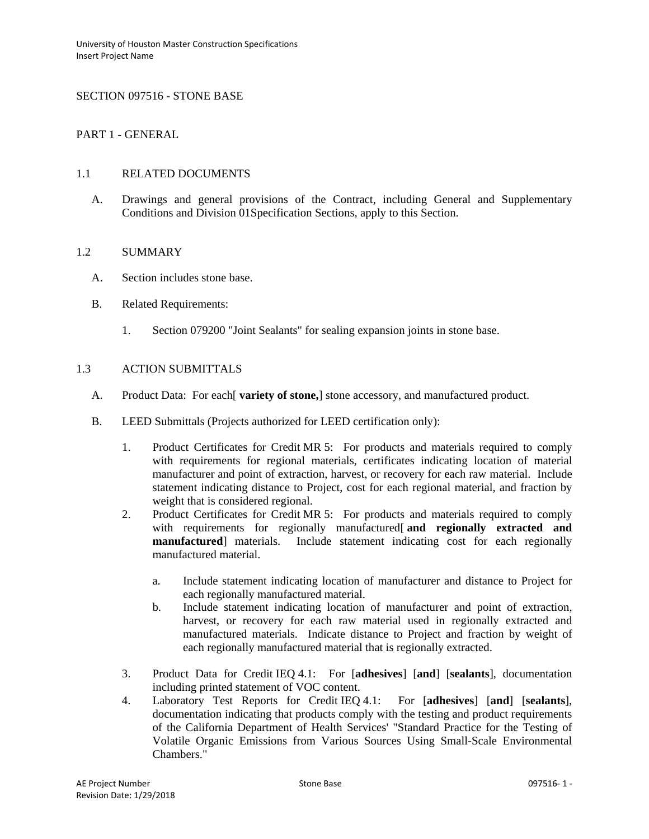## SECTION 097516 - STONE BASE

## PART 1 - GENERAL

### 1.1 RELATED DOCUMENTS

A. Drawings and general provisions of the Contract, including General and Supplementary Conditions and Division 01Specification Sections, apply to this Section.

#### 1.2 SUMMARY

- A. Section includes stone base.
- B. Related Requirements:
	- 1. Section 079200 "Joint Sealants" for sealing expansion joints in stone base.

# 1.3 ACTION SUBMITTALS

- A. Product Data: For each[ **variety of stone,**] stone accessory, and manufactured product.
- B. LEED Submittals (Projects authorized for LEED certification only):
	- 1. Product Certificates for Credit MR 5: For products and materials required to comply with requirements for regional materials, certificates indicating location of material manufacturer and point of extraction, harvest, or recovery for each raw material. Include statement indicating distance to Project, cost for each regional material, and fraction by weight that is considered regional.
	- 2. Product Certificates for Credit MR 5: For products and materials required to comply with requirements for regionally manufactured[ **and regionally extracted and manufactured**] materials. Include statement indicating cost for each regionally manufactured material.
		- a. Include statement indicating location of manufacturer and distance to Project for each regionally manufactured material.
		- b. Include statement indicating location of manufacturer and point of extraction, harvest, or recovery for each raw material used in regionally extracted and manufactured materials. Indicate distance to Project and fraction by weight of each regionally manufactured material that is regionally extracted.
	- 3. Product Data for Credit IEQ 4.1: For [**adhesives**] [**and**] [**sealants**], documentation including printed statement of VOC content.
	- 4. Laboratory Test Reports for Credit IEQ 4.1: For [**adhesives**] [**and**] [**sealants**], documentation indicating that products comply with the testing and product requirements of the California Department of Health Services' "Standard Practice for the Testing of Volatile Organic Emissions from Various Sources Using Small-Scale Environmental Chambers."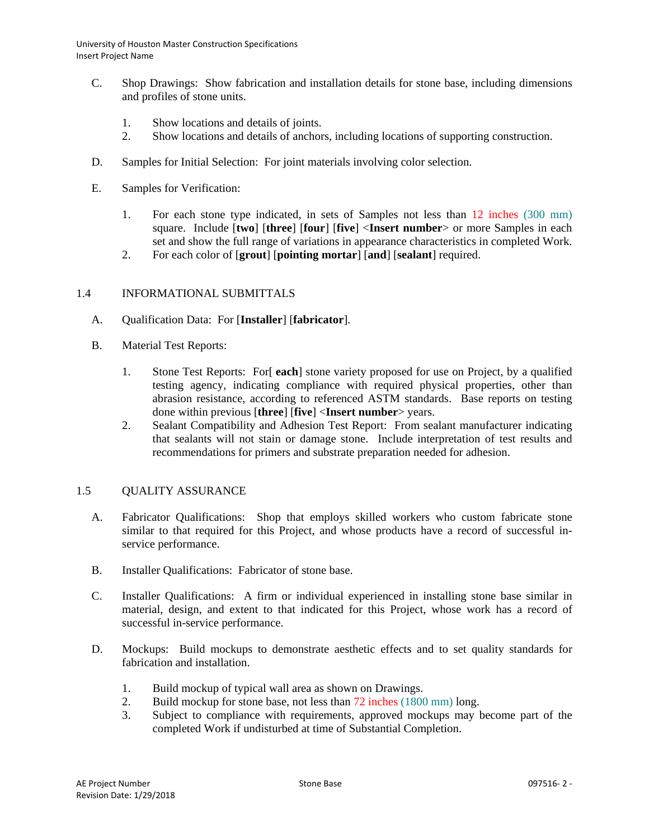- C. Shop Drawings: Show fabrication and installation details for stone base, including dimensions and profiles of stone units.
	- 1. Show locations and details of joints.
	- 2. Show locations and details of anchors, including locations of supporting construction.
- D. Samples for Initial Selection: For joint materials involving color selection.
- E. Samples for Verification:
	- 1. For each stone type indicated, in sets of Samples not less than 12 inches (300 mm) square. Include [**two**] [**three**] [**four**] [**five**] <**Insert number**> or more Samples in each set and show the full range of variations in appearance characteristics in completed Work.
	- 2. For each color of [**grout**] [**pointing mortar**] [**and**] [**sealant**] required.

## 1.4 INFORMATIONAL SUBMITTALS

- A. Qualification Data: For [**Installer**] [**fabricator**].
- B. Material Test Reports:
	- 1. Stone Test Reports: For[ **each**] stone variety proposed for use on Project, by a qualified testing agency, indicating compliance with required physical properties, other than abrasion resistance, according to referenced ASTM standards. Base reports on testing done within previous [**three**] [**five**] <**Insert number**> years.
	- 2. Sealant Compatibility and Adhesion Test Report: From sealant manufacturer indicating that sealants will not stain or damage stone. Include interpretation of test results and recommendations for primers and substrate preparation needed for adhesion.

## 1.5 QUALITY ASSURANCE

- A. Fabricator Qualifications: Shop that employs skilled workers who custom fabricate stone similar to that required for this Project, and whose products have a record of successful inservice performance.
- B. Installer Qualifications: Fabricator of stone base.
- C. Installer Qualifications: A firm or individual experienced in installing stone base similar in material, design, and extent to that indicated for this Project, whose work has a record of successful in-service performance.
- D. Mockups: Build mockups to demonstrate aesthetic effects and to set quality standards for fabrication and installation.
	- 1. Build mockup of typical wall area as shown on Drawings.
	- 2. Build mockup for stone base, not less than 72 inches (1800 mm) long.
	- 3. Subject to compliance with requirements, approved mockups may become part of the completed Work if undisturbed at time of Substantial Completion.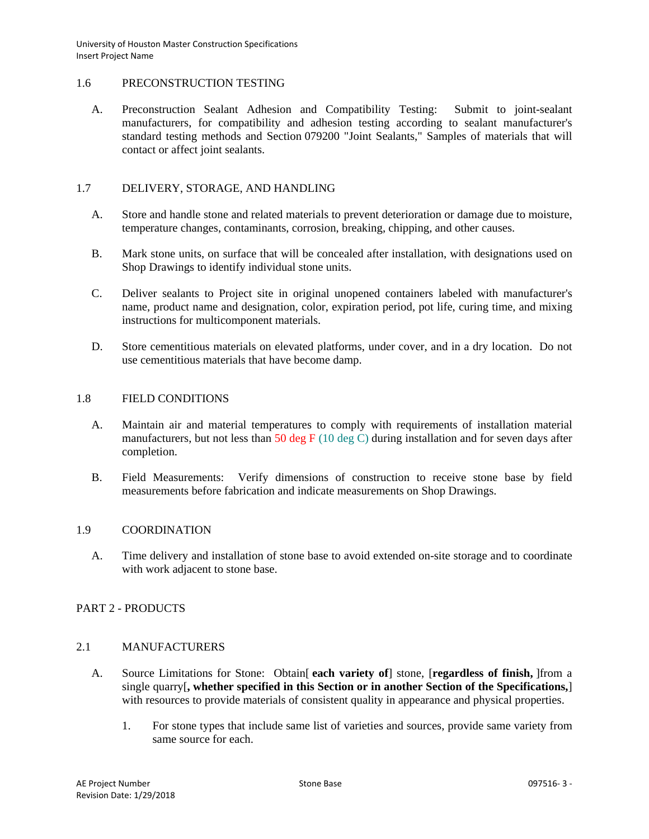### 1.6 PRECONSTRUCTION TESTING

A. Preconstruction Sealant Adhesion and Compatibility Testing: Submit to joint-sealant manufacturers, for compatibility and adhesion testing according to sealant manufacturer's standard testing methods and Section 079200 "Joint Sealants," Samples of materials that will contact or affect joint sealants.

### 1.7 DELIVERY, STORAGE, AND HANDLING

- A. Store and handle stone and related materials to prevent deterioration or damage due to moisture, temperature changes, contaminants, corrosion, breaking, chipping, and other causes.
- B. Mark stone units, on surface that will be concealed after installation, with designations used on Shop Drawings to identify individual stone units.
- C. Deliver sealants to Project site in original unopened containers labeled with manufacturer's name, product name and designation, color, expiration period, pot life, curing time, and mixing instructions for multicomponent materials.
- D. Store cementitious materials on elevated platforms, under cover, and in a dry location. Do not use cementitious materials that have become damp.

### 1.8 FIELD CONDITIONS

- A. Maintain air and material temperatures to comply with requirements of installation material manufacturers, but not less than  $50 \text{ deg } F$  (10 deg C) during installation and for seven days after completion.
- B. Field Measurements: Verify dimensions of construction to receive stone base by field measurements before fabrication and indicate measurements on Shop Drawings.

## 1.9 COORDINATION

A. Time delivery and installation of stone base to avoid extended on-site storage and to coordinate with work adjacent to stone base.

## PART 2 - PRODUCTS

### 2.1 MANUFACTURERS

- A. Source Limitations for Stone: Obtain[ **each variety of**] stone, [**regardless of finish,** ]from a single quarry[**, whether specified in this Section or in another Section of the Specifications,**] with resources to provide materials of consistent quality in appearance and physical properties.
	- 1. For stone types that include same list of varieties and sources, provide same variety from same source for each.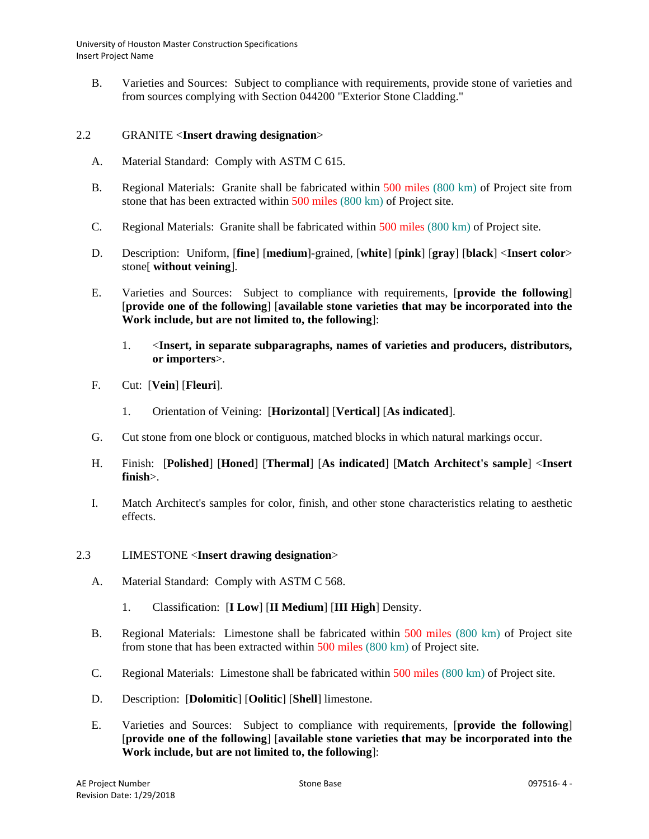B. Varieties and Sources: Subject to compliance with requirements, provide stone of varieties and from sources complying with Section 044200 "Exterior Stone Cladding."

### 2.2 GRANITE <**Insert drawing designation**>

- A. Material Standard: Comply with ASTM C 615.
- B. Regional Materials: Granite shall be fabricated within 500 miles (800 km) of Project site from stone that has been extracted within 500 miles (800 km) of Project site.
- C. Regional Materials: Granite shall be fabricated within 500 miles (800 km) of Project site.
- D. Description: Uniform, [**fine**] [**medium**]-grained, [**white**] [**pink**] [**gray**] [**black**] <**Insert color**> stone[ **without veining**].
- E. Varieties and Sources: Subject to compliance with requirements, [**provide the following**] [**provide one of the following**] [**available stone varieties that may be incorporated into the Work include, but are not limited to, the following**]:
	- 1. <**Insert, in separate subparagraphs, names of varieties and producers, distributors, or importers**>.
- F. Cut: [**Vein**] [**Fleuri**].
	- 1. Orientation of Veining: [**Horizontal**] [**Vertical**] [**As indicated**].
- G. Cut stone from one block or contiguous, matched blocks in which natural markings occur.
- H. Finish: [**Polished**] [**Honed**] [**Thermal**] [**As indicated**] [**Match Architect's sample**] <**Insert finish**>.
- I. Match Architect's samples for color, finish, and other stone characteristics relating to aesthetic effects.

#### 2.3 LIMESTONE <**Insert drawing designation**>

- A. Material Standard: Comply with ASTM C 568.
	- 1. Classification: [**I Low**] [**II Medium**] [**III High**] Density.
- B. Regional Materials: Limestone shall be fabricated within 500 miles (800 km) of Project site from stone that has been extracted within 500 miles (800 km) of Project site.
- C. Regional Materials: Limestone shall be fabricated within 500 miles (800 km) of Project site.
- D. Description: [**Dolomitic**] [**Oolitic**] [**Shell**] limestone.
- E. Varieties and Sources: Subject to compliance with requirements, [**provide the following**] [**provide one of the following**] [**available stone varieties that may be incorporated into the Work include, but are not limited to, the following**]: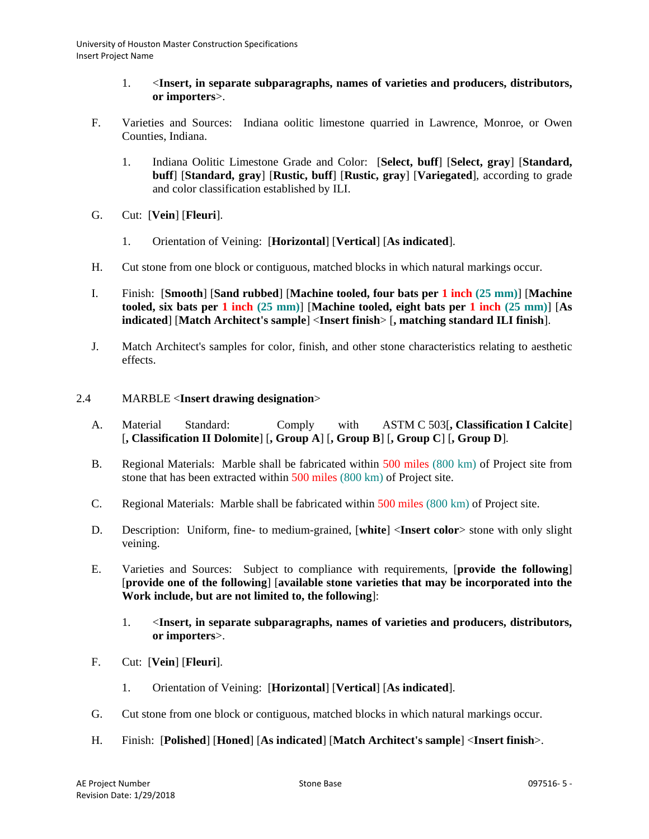- 1. <**Insert, in separate subparagraphs, names of varieties and producers, distributors, or importers**>.
- F. Varieties and Sources: Indiana oolitic limestone quarried in Lawrence, Monroe, or Owen Counties, Indiana.
	- 1. Indiana Oolitic Limestone Grade and Color: [**Select, buff**] [**Select, gray**] [**Standard, buff**] [**Standard, gray**] [**Rustic, buff**] [**Rustic, gray**] [**Variegated**], according to grade and color classification established by ILI.
- G. Cut: [**Vein**] [**Fleuri**].
	- 1. Orientation of Veining: [**Horizontal**] [**Vertical**] [**As indicated**].
- H. Cut stone from one block or contiguous, matched blocks in which natural markings occur.
- I. Finish: [**Smooth**] [**Sand rubbed**] [**Machine tooled, four bats per 1 inch (25 mm)**] [**Machine tooled, six bats per 1 inch (25 mm)**] [**Machine tooled, eight bats per 1 inch (25 mm)**] [**As indicated**] [**Match Architect's sample**] <**Insert finish**> [**, matching standard ILI finish**].
- J. Match Architect's samples for color, finish, and other stone characteristics relating to aesthetic effects.

## 2.4 MARBLE <**Insert drawing designation**>

- A. Material Standard: Comply with ASTM C 503[**, Classification I Calcite**] [**, Classification II Dolomite**] [**, Group A**] [**, Group B**] [**, Group C**] [**, Group D**].
- B. Regional Materials: Marble shall be fabricated within 500 miles (800 km) of Project site from stone that has been extracted within 500 miles (800 km) of Project site.
- C. Regional Materials: Marble shall be fabricated within 500 miles (800 km) of Project site.
- D. Description: Uniform, fine- to medium-grained, [**white**] <**Insert color**> stone with only slight veining.
- E. Varieties and Sources: Subject to compliance with requirements, [**provide the following**] [**provide one of the following**] [**available stone varieties that may be incorporated into the Work include, but are not limited to, the following**]:
	- 1. <**Insert, in separate subparagraphs, names of varieties and producers, distributors, or importers**>.
- F. Cut: [**Vein**] [**Fleuri**].
	- 1. Orientation of Veining: [**Horizontal**] [**Vertical**] [**As indicated**].
- G. Cut stone from one block or contiguous, matched blocks in which natural markings occur.
- H. Finish: [**Polished**] [**Honed**] [**As indicated**] [**Match Architect's sample**] <**Insert finish**>.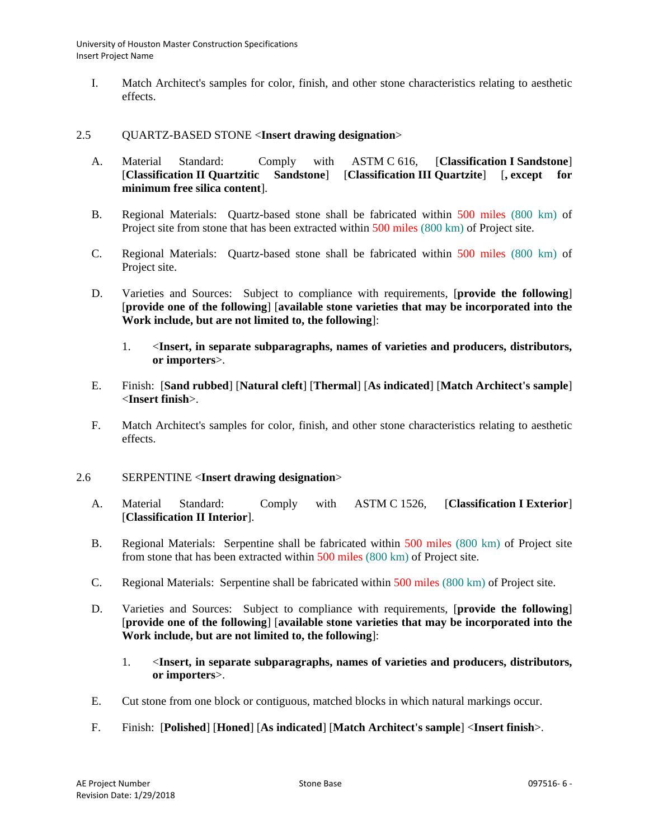I. Match Architect's samples for color, finish, and other stone characteristics relating to aesthetic effects.

## 2.5 QUARTZ-BASED STONE <**Insert drawing designation**>

- A. Material Standard: Comply with ASTM C 616, [**Classification I Sandstone**] [**Classification II Quartzitic Sandstone**] [**Classification III Quartzite**] [**, except for minimum free silica content**].
- B. Regional Materials: Quartz-based stone shall be fabricated within 500 miles (800 km) of Project site from stone that has been extracted within 500 miles (800 km) of Project site.
- C. Regional Materials: Quartz-based stone shall be fabricated within 500 miles (800 km) of Project site.
- D. Varieties and Sources: Subject to compliance with requirements, [**provide the following**] [**provide one of the following**] [**available stone varieties that may be incorporated into the Work include, but are not limited to, the following**]:
	- 1. <**Insert, in separate subparagraphs, names of varieties and producers, distributors, or importers**>.
- E. Finish: [**Sand rubbed**] [**Natural cleft**] [**Thermal**] [**As indicated**] [**Match Architect's sample**] <**Insert finish**>.
- F. Match Architect's samples for color, finish, and other stone characteristics relating to aesthetic effects.

### 2.6 SERPENTINE <**Insert drawing designation**>

- A. Material Standard: Comply with ASTM C 1526, [**Classification I Exterior**] [**Classification II Interior**].
- B. Regional Materials: Serpentine shall be fabricated within 500 miles (800 km) of Project site from stone that has been extracted within 500 miles (800 km) of Project site.
- C. Regional Materials: Serpentine shall be fabricated within 500 miles (800 km) of Project site.
- D. Varieties and Sources: Subject to compliance with requirements, [**provide the following**] [**provide one of the following**] [**available stone varieties that may be incorporated into the Work include, but are not limited to, the following**]:
	- 1. <**Insert, in separate subparagraphs, names of varieties and producers, distributors, or importers**>.
- E. Cut stone from one block or contiguous, matched blocks in which natural markings occur.
- F. Finish: [**Polished**] [**Honed**] [**As indicated**] [**Match Architect's sample**] <**Insert finish**>.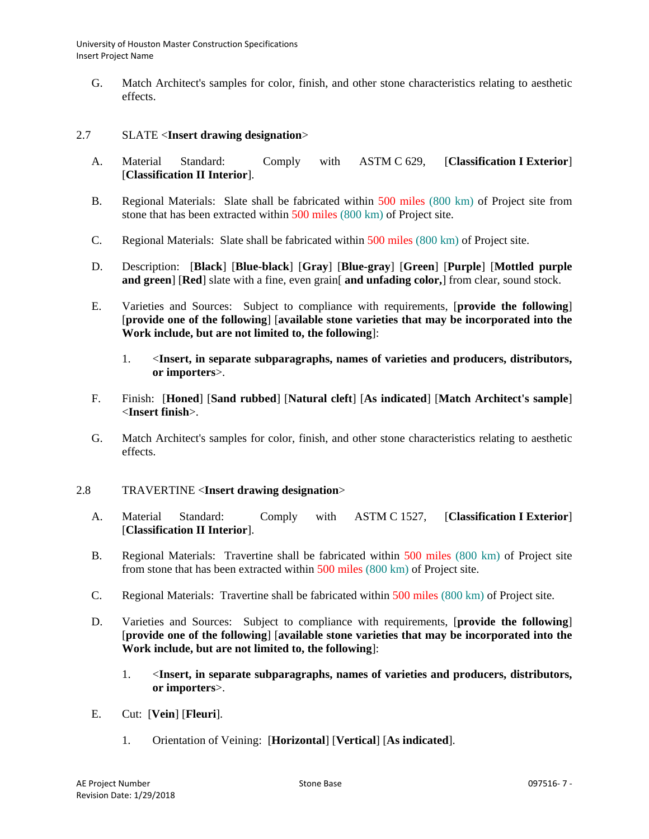G. Match Architect's samples for color, finish, and other stone characteristics relating to aesthetic effects.

### 2.7 SLATE <**Insert drawing designation**>

- A. Material Standard: Comply with ASTM C 629, [**Classification I Exterior**] [**Classification II Interior**].
- B. Regional Materials: Slate shall be fabricated within 500 miles (800 km) of Project site from stone that has been extracted within 500 miles (800 km) of Project site.
- C. Regional Materials: Slate shall be fabricated within 500 miles (800 km) of Project site.
- D. Description: [**Black**] [**Blue-black**] [**Gray**] [**Blue-gray**] [**Green**] [**Purple**] [**Mottled purple and green**] [**Red**] slate with a fine, even grain[ **and unfading color,**] from clear, sound stock.
- E. Varieties and Sources: Subject to compliance with requirements, [**provide the following**] [**provide one of the following**] [**available stone varieties that may be incorporated into the Work include, but are not limited to, the following**]:
	- 1. <**Insert, in separate subparagraphs, names of varieties and producers, distributors, or importers**>.
- F. Finish: [**Honed**] [**Sand rubbed**] [**Natural cleft**] [**As indicated**] [**Match Architect's sample**] <**Insert finish**>.
- G. Match Architect's samples for color, finish, and other stone characteristics relating to aesthetic effects.

#### 2.8 TRAVERTINE <**Insert drawing designation**>

- A. Material Standard: Comply with ASTM C 1527, [**Classification I Exterior**] [**Classification II Interior**].
- B. Regional Materials: Travertine shall be fabricated within 500 miles (800 km) of Project site from stone that has been extracted within 500 miles (800 km) of Project site.
- C. Regional Materials: Travertine shall be fabricated within 500 miles (800 km) of Project site.
- D. Varieties and Sources: Subject to compliance with requirements, [**provide the following**] [**provide one of the following**] [**available stone varieties that may be incorporated into the Work include, but are not limited to, the following**]:
	- 1. <**Insert, in separate subparagraphs, names of varieties and producers, distributors, or importers**>.
- E. Cut: [**Vein**] [**Fleuri**].
	- 1. Orientation of Veining: [**Horizontal**] [**Vertical**] [**As indicated**].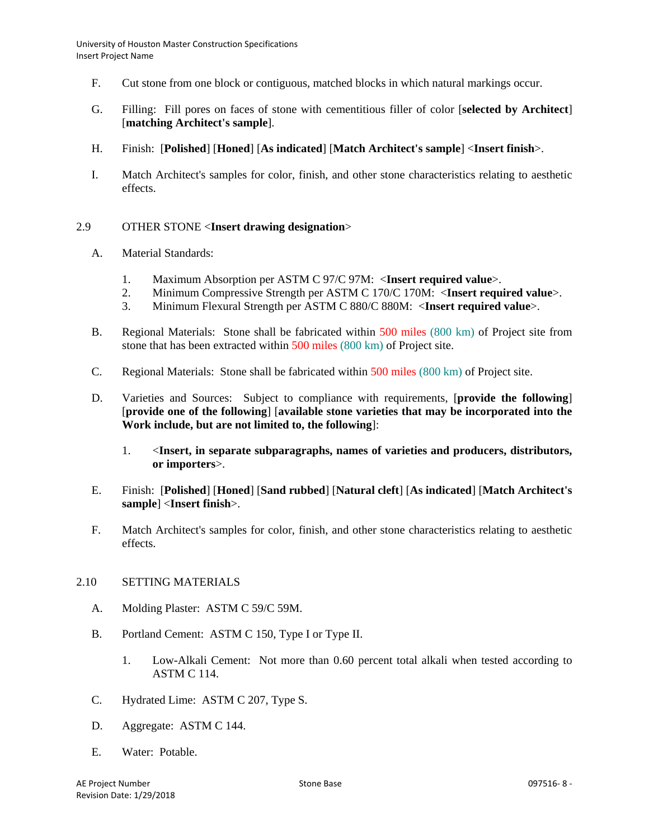- F. Cut stone from one block or contiguous, matched blocks in which natural markings occur.
- G. Filling: Fill pores on faces of stone with cementitious filler of color [**selected by Architect**] [**matching Architect's sample**].
- H. Finish: [**Polished**] [**Honed**] [**As indicated**] [**Match Architect's sample**] <**Insert finish**>.
- I. Match Architect's samples for color, finish, and other stone characteristics relating to aesthetic effects.

## 2.9 OTHER STONE <**Insert drawing designation**>

- A. Material Standards:
	- 1. Maximum Absorption per ASTM C 97/C 97M: <**Insert required value**>.
	- 2. Minimum Compressive Strength per ASTM C 170/C 170M: <**Insert required value**>.
	- 3. Minimum Flexural Strength per ASTM C 880/C 880M: <**Insert required value**>.
- B. Regional Materials: Stone shall be fabricated within 500 miles (800 km) of Project site from stone that has been extracted within 500 miles (800 km) of Project site.
- C. Regional Materials: Stone shall be fabricated within 500 miles (800 km) of Project site.
- D. Varieties and Sources: Subject to compliance with requirements, [**provide the following**] [**provide one of the following**] [**available stone varieties that may be incorporated into the Work include, but are not limited to, the following**]:
	- 1. <**Insert, in separate subparagraphs, names of varieties and producers, distributors, or importers**>.
- E. Finish: [**Polished**] [**Honed**] [**Sand rubbed**] [**Natural cleft**] [**As indicated**] [**Match Architect's sample**] <**Insert finish**>.
- F. Match Architect's samples for color, finish, and other stone characteristics relating to aesthetic effects.

#### 2.10 SETTING MATERIALS

- A. Molding Plaster: ASTM C 59/C 59M.
- B. Portland Cement: ASTM C 150, Type I or Type II.
	- 1. Low-Alkali Cement: Not more than 0.60 percent total alkali when tested according to ASTM C 114.
- C. Hydrated Lime: ASTM C 207, Type S.
- D. Aggregate: ASTM C 144.
- E. Water: Potable.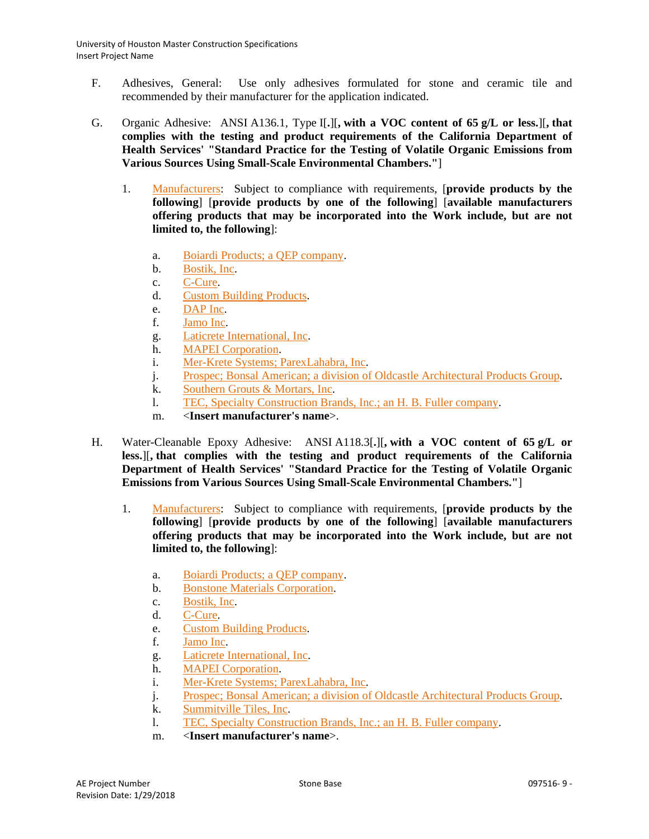- F. Adhesives, General: Use only adhesives formulated for stone and ceramic tile and recommended by their manufacturer for the application indicated.
- G. Organic Adhesive: ANSI A136.1, Type I[**.**][**, with a VOC content of 65 g/L or less.**][**, that complies with the testing and product requirements of the California Department of Health Services' "Standard Practice for the Testing of Volatile Organic Emissions from Various Sources Using Small-Scale Environmental Chambers."**]
	- 1. [Manufacturers:](http://www.specagent.com/LookUp/?ulid=6746&mf=04&src=wd) Subject to compliance with requirements, [**provide products by the following**] [**provide products by one of the following**] [**available manufacturers offering products that may be incorporated into the Work include, but are not limited to, the following**]:
		- a. [Boiardi Products; a QEP company.](http://www.specagent.com/LookUp/?uid=123456835424&mf=04&src=wd)
		- b. [Bostik, Inc.](http://www.specagent.com/LookUp/?uid=123456835425&mf=04&src=wd)
		- c. [C-Cure.](http://www.specagent.com/LookUp/?uid=123456835426&mf=04&src=wd)
		- d. [Custom Building Products.](http://www.specagent.com/LookUp/?uid=123456835427&mf=04&src=wd)
		- e. [DAP Inc.](http://www.specagent.com/LookUp/?uid=123456835428&mf=04&src=wd)
		- f. [Jamo Inc.](http://www.specagent.com/LookUp/?uid=123456835429&mf=04&src=wd)
		- g. [Laticrete International, Inc.](http://www.specagent.com/LookUp/?uid=123456835430&mf=04&src=wd)
		- h. [MAPEI Corporation.](http://www.specagent.com/LookUp/?uid=123456835431&mf=04&src=wd)
		- i. [Mer-Krete Systems; ParexLahabra, Inc.](http://www.specagent.com/LookUp/?uid=123456835432&mf=04&src=wd)
		- j. [Prospec; Bonsal American; a division of Oldcastle Architectural Products Group.](http://www.specagent.com/LookUp/?uid=123456835433&mf=04&src=wd)
		- k. [Southern Grouts & Mortars, Inc.](http://www.specagent.com/LookUp/?uid=123456835434&mf=04&src=wd)
		- l. [TEC, Specialty Construction Brands, Inc.; an H. B. Fuller company.](http://www.specagent.com/LookUp/?uid=123456835435&mf=04&src=wd)
		- m. <**Insert manufacturer's name**>.
- H. Water-Cleanable Epoxy Adhesive: ANSI A118.3[**.**][**, with a VOC content of 65 g/L or less.**][**, that complies with the testing and product requirements of the California Department of Health Services' "Standard Practice for the Testing of Volatile Organic Emissions from Various Sources Using Small-Scale Environmental Chambers."**]
	- 1. [Manufacturers:](http://www.specagent.com/LookUp/?ulid=6747&mf=04&src=wd) Subject to compliance with requirements, [**provide products by the following**] [**provide products by one of the following**] [**available manufacturers offering products that may be incorporated into the Work include, but are not limited to, the following**]:
		- a. [Boiardi Products; a QEP company.](http://www.specagent.com/LookUp/?uid=123456835436&mf=04&src=wd)
		- b. [Bonstone Materials Corporation.](http://www.specagent.com/LookUp/?uid=123456835437&mf=04&src=wd)
		- c. [Bostik, Inc.](http://www.specagent.com/LookUp/?uid=123456835438&mf=04&src=wd)
		- d. [C-Cure.](http://www.specagent.com/LookUp/?uid=123456835439&mf=04&src=wd)
		- e. [Custom Building Products.](http://www.specagent.com/LookUp/?uid=123456835440&mf=04&src=wd)
		- f. [Jamo Inc.](http://www.specagent.com/LookUp/?uid=123456835441&mf=04&src=wd)
		- g. [Laticrete International, Inc.](http://www.specagent.com/LookUp/?uid=123456835442&mf=04&src=wd)
		- h. [MAPEI Corporation.](http://www.specagent.com/LookUp/?uid=123456835443&mf=04&src=wd)
		- i. [Mer-Krete Systems; ParexLahabra, Inc.](http://www.specagent.com/LookUp/?uid=123456835444&mf=04&src=wd)
		- j. [Prospec; Bonsal American; a division of Oldcastle Architectural Products Group.](http://www.specagent.com/LookUp/?uid=123456835445&mf=04&src=wd)
		- k. [Summitville Tiles,](http://www.specagent.com/LookUp/?uid=123456835446&mf=04&src=wd) Inc.
		- l. [TEC, Specialty Construction Brands, Inc.; an H. B. Fuller company.](http://www.specagent.com/LookUp/?uid=123456835447&mf=04&src=wd)
		- m. <**Insert manufacturer's name**>.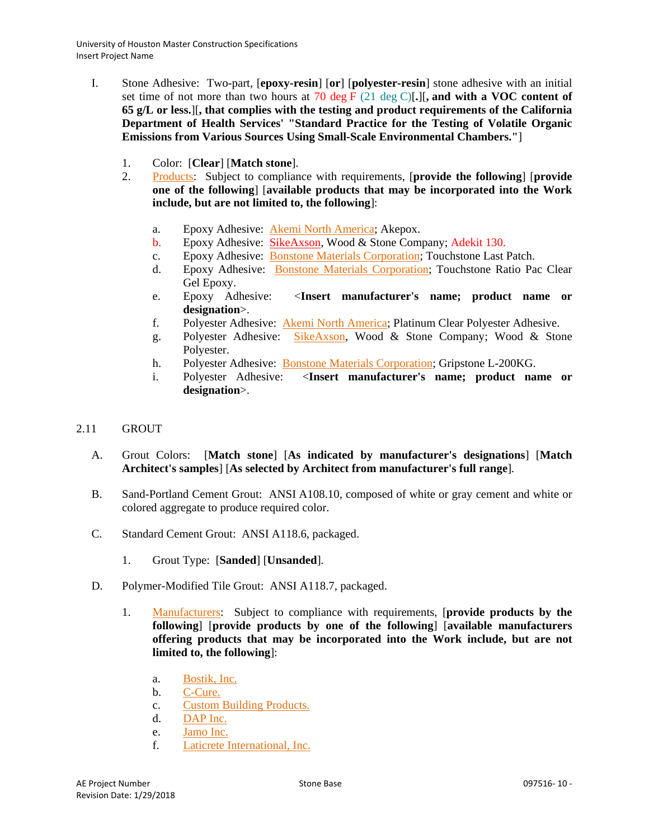- I. Stone Adhesive: Two-part, [**epoxy-resin**] [**or**] [**polyester-resin**] stone adhesive with an initial set time of not more than two hours at 70 deg F (21 deg C)[**.**][**, and with a VOC content of 65 g/L or less.**][**, that complies with the testing and product requirements of the California Department of Health Services' "Standard Practice for the Testing of Volatile Organic Emissions from Various Sources Using Small-Scale Environmental Chambers."**]
	- 1. Color: [**Clear**] [**Match stone**].
	- 2. [Products:](http://www.specagent.com/LookUp/?ulid=6748&mf=04&src=wd) Subject to compliance with requirements, [**provide the following**] [**provide one of the following**] [**available products that may be incorporated into the Work include, but are not limited to, the following**]:
		- a. Epoxy Adhesive: [Akemi North America;](http://www.specagent.com/LookUp/?uid=123456835448&mf=04&src=wd) Akepox.
		- b. Epoxy Adhesive: [SikeAxson,](http://www.specagent.com/LookUp/?uid=123456835449&mf=04&src=wd) Wood & Stone Company; Adekit 130.
		- c. Epoxy Adhesive: Bonstone Materials Corporation; Touchstone Last Patch.
		- d. Epoxy Adhesive: [Bonstone Materials Corporation;](http://www.specagent.com/LookUp/?uid=123456835450&mf=04&src=wd) Touchstone Ratio Pac Clear Gel Epoxy.
		- e. Epoxy Adhesive: <**Insert manufacturer's name; product name or designation**>.
		- f. Polyester Adhesive: [Akemi North America;](http://www.specagent.com/LookUp/?uid=123456835448&mf=04&src=wd) Platinum Clear Polyester Adhesive.
		- g. Polyester Adhesive: SikeAxson, Wood & Stone Company; Wood & Stone Polyester.
		- h. Polyester Adhesive: [Bonstone Materials Corporation;](http://www.specagent.com/LookUp/?uid=123456835450&mf=04&src=wd) Gripstone L-200KG.
		- i. Polyester Adhesive: <**Insert manufacturer's name; product name or designation**>.

## 2.11 GROUT

- A. Grout Colors: [**Match stone**] [**As indicated by manufacturer's designations**] [**Match Architect's samples**] [**As selected by Architect from manufacturer's full range**].
- B. Sand-Portland Cement Grout: ANSI A108.10, composed of white or gray cement and white or colored aggregate to produce required color.
- C. Standard Cement Grout: ANSI A118.6, packaged.
	- 1. Grout Type: [**Sanded**] [**Unsanded**].
- D. Polymer-Modified Tile Grout: ANSI A118.7, packaged.
	- 1. [Manufacturers:](http://www.specagent.com/LookUp/?ulid=6749&mf=04&src=wd) Subject to compliance with requirements, [**provide products by the following**] [**provide products by one of the following**] [**available manufacturers offering products that may be incorporated into the Work include, but are not limited to, the following**]:
		- a. [Bostik, Inc.](http://www.specagent.com/LookUp/?uid=123456835451&mf=04&src=wd)
		- b. [C-Cure.](http://www.specagent.com/LookUp/?uid=123456835452&mf=04&src=wd)
		- c. [Custom Building Products.](http://www.specagent.com/LookUp/?uid=123456835453&mf=04&src=wd)
		- d. [DAP Inc.](http://www.specagent.com/LookUp/?uid=123456835454&mf=04&src=wd)
		- e. [Jamo Inc.](http://www.specagent.com/LookUp/?uid=123456835455&mf=04&src=wd)
		- f. [Laticrete International, Inc.](http://www.specagent.com/LookUp/?uid=123456835456&mf=04&src=wd)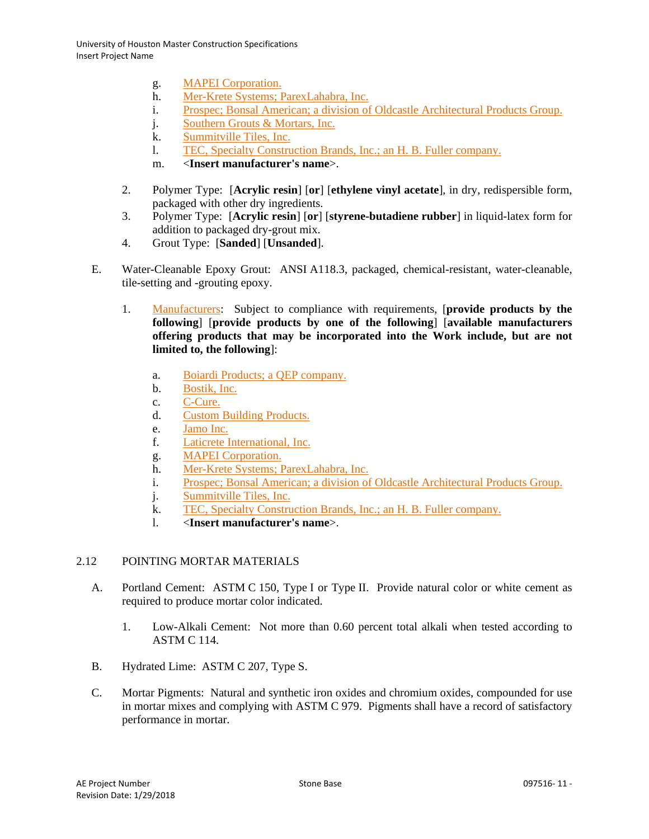- g. [MAPEI Corporation.](http://www.specagent.com/LookUp/?uid=123456835457&mf=04&src=wd)
- h. [Mer-Krete Systems; ParexLahabra, Inc.](http://www.specagent.com/LookUp/?uid=123456835458&mf=04&src=wd)
- i. [Prospec; Bonsal American; a division of Oldcastle Architectural Products Group.](http://www.specagent.com/LookUp/?uid=&mf=04&src=wd)
- j. [Southern Grouts & Mortars, Inc.](http://www.specagent.com/LookUp/?uid=123456835460&mf=04&src=wd)
- k. [Summitville Tiles, Inc.](http://www.specagent.com/LookUp/?uid=123456835461&mf=04&src=wd)
- l. [TEC, Specialty Construction Brands, Inc.; an H. B. Fuller company.](http://www.specagent.com/LookUp/?uid=123456835462&mf=04&src=wd)
- m. <**Insert manufacturer's name**>.
- 2. Polymer Type: [**Acrylic resin**] [**or**] [**ethylene vinyl acetate**], in dry, redispersible form, packaged with other dry ingredients.
- 3. Polymer Type: [**Acrylic resin**] [**or**] [**styrene-butadiene rubber**] in liquid-latex form for addition to packaged dry-grout mix.
- 4. Grout Type: [**Sanded**] [**Unsanded**].
- E. Water-Cleanable Epoxy Grout: ANSI A118.3, packaged, chemical-resistant, water-cleanable, tile-setting and -grouting epoxy.
	- 1. [Manufacturers:](http://www.specagent.com/LookUp/?ulid=6750&mf=04&src=wd) Subject to compliance with requirements, [**provide products by the following**] [**provide products by one of the following**] [**available manufacturers offering products that may be incorporated into the Work include, but are not limited to, the following**]:
		- a. [Boiardi Products; a QEP company.](http://www.specagent.com/LookUp/?uid=123456835463&mf=04&src=wd)
		- b. [Bostik, Inc.](http://www.specagent.com/LookUp/?uid=123456835464&mf=04&src=wd)
		- c. [C-Cure.](http://www.specagent.com/LookUp/?uid=123456835465&mf=04&src=wd)
		- d. [Custom Building Products.](http://www.specagent.com/LookUp/?uid=123456835466&mf=04&src=wd)
		- e. [Jamo Inc.](http://www.specagent.com/LookUp/?uid=123456835467&mf=04&src=wd)
		- f. [Laticrete International, Inc.](http://www.specagent.com/LookUp/?uid=123456835468&mf=04&src=wd)
		- g. [MAPEI Corporation.](http://www.specagent.com/LookUp/?uid=123456835469&mf=04&src=wd)
		- h. [Mer-Krete Systems; ParexLahabra, Inc.](http://www.specagent.com/LookUp/?uid=123456835470&mf=04&src=wd)
		- i. [Prospec; Bonsal American; a division of Oldcastle Architectural Products Group.](http://www.specagent.com/LookUp/?uid=123456835471&mf=04&src=wd)
		- j. [Summitville Tiles, Inc.](http://www.specagent.com/LookUp/?uid=123456835473&mf=04&src=wd)
		- k. [TEC, Specialty Construction Brands, Inc.; an H. B. Fuller company.](http://www.specagent.com/LookUp/?uid=123456835472&mf=04&src=wd)
		- l. <**Insert manufacturer's name**>.

# 2.12 POINTING MORTAR MATERIALS

- A. Portland Cement: ASTM C 150, Type I or Type II. Provide natural color or white cement as required to produce mortar color indicated.
	- 1. Low-Alkali Cement: Not more than 0.60 percent total alkali when tested according to ASTM C 114.
- B. Hydrated Lime: ASTM C 207, Type S.
- C. Mortar Pigments: Natural and synthetic iron oxides and chromium oxides, compounded for use in mortar mixes and complying with ASTM C 979. Pigments shall have a record of satisfactory performance in mortar.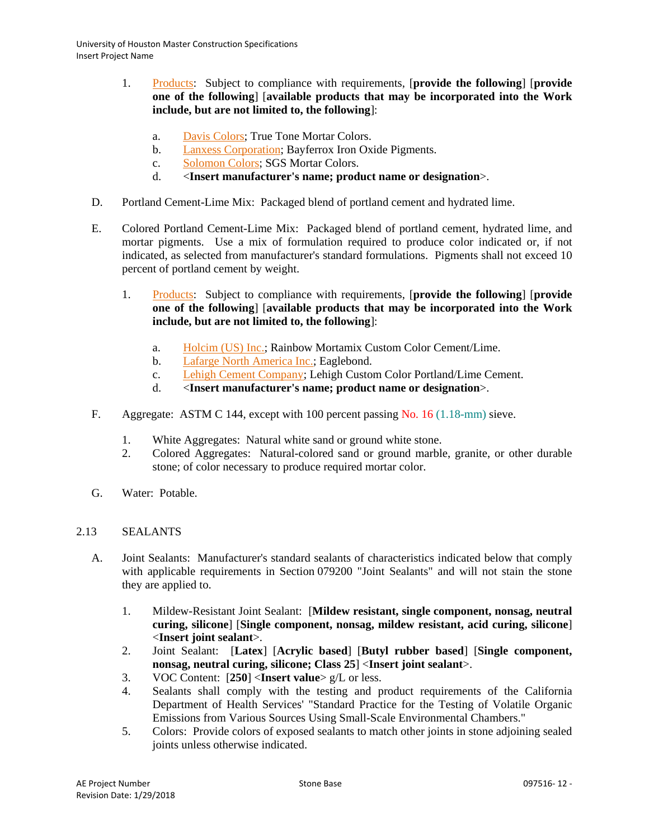- 1. [Products:](http://www.specagent.com/LookUp/?ulid=6751&mf=04&src=wd) Subject to compliance with requirements, [**provide the following**] [**provide one of the following**] [**available products that may be incorporated into the Work include, but are not limited to, the following**]:
	- a. [Davis Colors;](http://www.specagent.com/LookUp/?uid=123456835474&mf=04&src=wd) True Tone Mortar Colors.
	- b. [Lanxess Corporation;](http://www.specagent.com/LookUp/?uid=123456835475&mf=04&src=wd) Bayferrox Iron Oxide Pigments.
	- c. [Solomon Colors;](http://www.specagent.com/LookUp/?uid=123456835476&mf=04&src=wd) SGS Mortar Colors.
	- d. <**Insert manufacturer's name; product name or designation**>.
- D. Portland Cement-Lime Mix: Packaged blend of portland cement and hydrated lime.
- E. Colored Portland Cement-Lime Mix: Packaged blend of portland cement, hydrated lime, and mortar pigments. Use a mix of formulation required to produce color indicated or, if not indicated, as selected from manufacturer's standard formulations. Pigments shall not exceed 10 percent of portland cement by weight.
	- 1. [Products:](http://www.specagent.com/LookUp/?ulid=6752&mf=04&src=wd) Subject to compliance with requirements, [**provide the following**] [**provide one of the following**] [**available products that may be incorporated into the Work include, but are not limited to, the following**]:
		- a. [Holcim \(US\) Inc.;](http://www.specagent.com/LookUp/?uid=123456835477&mf=04&src=wd) Rainbow Mortamix Custom Color Cement/Lime.
		- b. [Lafarge North America Inc.;](http://www.specagent.com/LookUp/?uid=123456835478&mf=04&src=wd) Eaglebond.
		- c. [Lehigh Cement Company;](http://www.specagent.com/LookUp/?uid=123456835479&mf=04&src=wd) Lehigh Custom Color Portland/Lime Cement.
		- d. <**Insert manufacturer's name; product name or designation**>.
- F. Aggregate: ASTM C 144, except with 100 percent passing No. 16 (1.18-mm) sieve.
	- 1. White Aggregates: Natural white sand or ground white stone.
	- 2. Colored Aggregates: Natural-colored sand or ground marble, granite, or other durable stone; of color necessary to produce required mortar color.
- G. Water: Potable.

## 2.13 SEALANTS

- A. Joint Sealants: Manufacturer's standard sealants of characteristics indicated below that comply with applicable requirements in Section 079200 "Joint Sealants" and will not stain the stone they are applied to.
	- 1. Mildew-Resistant Joint Sealant: [**Mildew resistant, single component, nonsag, neutral curing, silicone**] [**Single component, nonsag, mildew resistant, acid curing, silicone**] <**Insert joint sealant**>.
	- 2. Joint Sealant: [**Latex**] [**Acrylic based**] [**Butyl rubber based**] [**Single component, nonsag, neutral curing, silicone; Class 25**] <**Insert joint sealant**>.
	- 3. VOC Content: [**250**] <**Insert value**> g/L or less.
	- 4. Sealants shall comply with the testing and product requirements of the California Department of Health Services' "Standard Practice for the Testing of Volatile Organic Emissions from Various Sources Using Small-Scale Environmental Chambers."
	- 5. Colors: Provide colors of exposed sealants to match other joints in stone adjoining sealed joints unless otherwise indicated.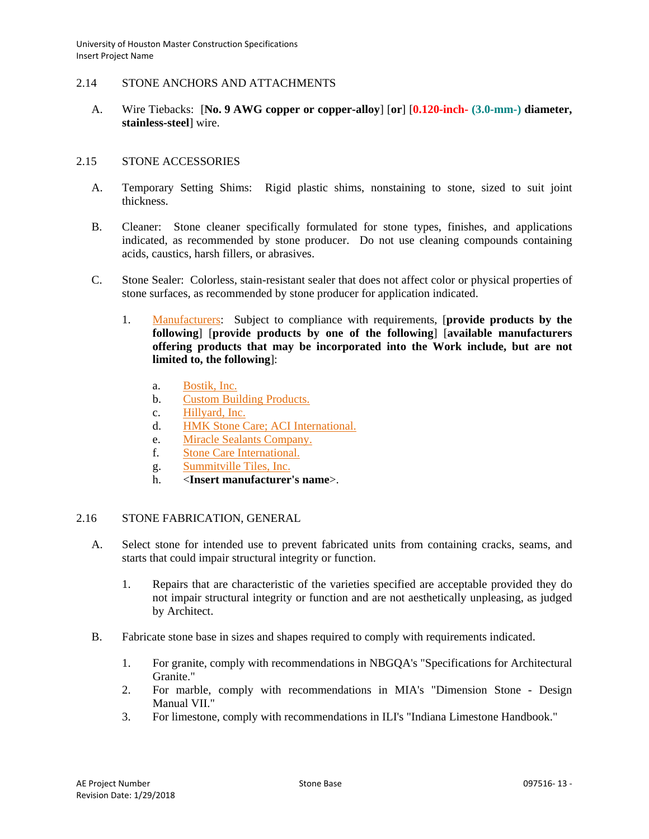### 2.14 STONE ANCHORS AND ATTACHMENTS

A. Wire Tiebacks: [**No. 9 AWG copper or copper-alloy**] [**or**] [**0.120-inch- (3.0-mm-) diameter, stainless-steel**] wire.

### 2.15 STONE ACCESSORIES

- A. Temporary Setting Shims: Rigid plastic shims, nonstaining to stone, sized to suit joint thickness.
- B. Cleaner: Stone cleaner specifically formulated for stone types, finishes, and applications indicated, as recommended by stone producer. Do not use cleaning compounds containing acids, caustics, harsh fillers, or abrasives.
- C. Stone Sealer: Colorless, stain-resistant sealer that does not affect color or physical properties of stone surfaces, as recommended by stone producer for application indicated.
	- 1. [Manufacturers:](http://www.specagent.com/LookUp/?ulid=6753&mf=04&src=wd) Subject to compliance with requirements, [**provide products by the following**] [**provide products by one of the following**] [**available manufacturers offering products that may be incorporated into the Work include, but are not limited to, the following**]:
		- a. [Bostik, Inc.](http://www.specagent.com/LookUp/?uid=123456835480&mf=04&src=wd)
		- b. [Custom Building Products.](http://www.specagent.com/LookUp/?uid=123456835481&mf=04&src=wd)
		- c. [Hillyard, Inc.](http://www.specagent.com/LookUp/?uid=123456835482&mf=04&src=wd)
		- d. [HMK Stone Care; ACI International.](http://www.specagent.com/LookUp/?uid=123456835483&mf=04&src=wd)
		- e. [Miracle Sealants Company.](http://www.specagent.com/LookUp/?uid=123456835484&mf=04&src=wd)
		- f. [Stone Care International.](http://www.specagent.com/LookUp/?uid=123456835485&mf=04&src=wd)
		- g. [Summitville Tiles, Inc.](http://www.specagent.com/LookUp/?uid=123456835486&mf=04&src=wd)
		- h. <**Insert manufacturer's name**>.

## 2.16 STONE FABRICATION, GENERAL

- A. Select stone for intended use to prevent fabricated units from containing cracks, seams, and starts that could impair structural integrity or function.
	- 1. Repairs that are characteristic of the varieties specified are acceptable provided they do not impair structural integrity or function and are not aesthetically unpleasing, as judged by Architect.
- B. Fabricate stone base in sizes and shapes required to comply with requirements indicated.
	- 1. For granite, comply with recommendations in NBGQA's "Specifications for Architectural Granite."
	- 2. For marble, comply with recommendations in MIA's "Dimension Stone Design Manual VII."
	- 3. For limestone, comply with recommendations in ILI's "Indiana Limestone Handbook."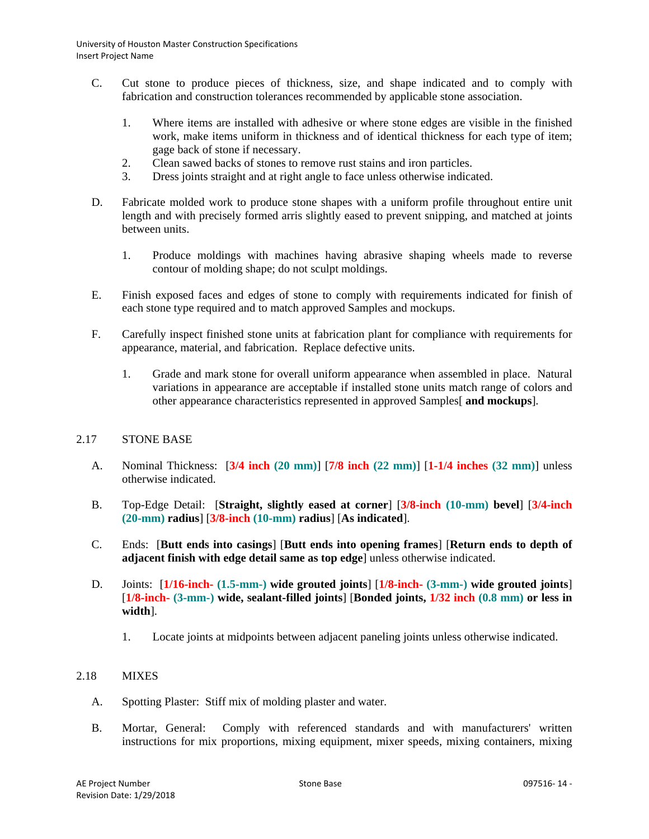- C. Cut stone to produce pieces of thickness, size, and shape indicated and to comply with fabrication and construction tolerances recommended by applicable stone association.
	- 1. Where items are installed with adhesive or where stone edges are visible in the finished work, make items uniform in thickness and of identical thickness for each type of item; gage back of stone if necessary.
	- 2. Clean sawed backs of stones to remove rust stains and iron particles.
	- 3. Dress joints straight and at right angle to face unless otherwise indicated.
- D. Fabricate molded work to produce stone shapes with a uniform profile throughout entire unit length and with precisely formed arris slightly eased to prevent snipping, and matched at joints between units.
	- 1. Produce moldings with machines having abrasive shaping wheels made to reverse contour of molding shape; do not sculpt moldings.
- E. Finish exposed faces and edges of stone to comply with requirements indicated for finish of each stone type required and to match approved Samples and mockups.
- F. Carefully inspect finished stone units at fabrication plant for compliance with requirements for appearance, material, and fabrication. Replace defective units.
	- 1. Grade and mark stone for overall uniform appearance when assembled in place. Natural variations in appearance are acceptable if installed stone units match range of colors and other appearance characteristics represented in approved Samples[ **and mockups**].

## 2.17 STONE BASE

- A. Nominal Thickness: [**3/4 inch (20 mm)**] [**7/8 inch (22 mm)**] [**1-1/4 inches (32 mm)**] unless otherwise indicated.
- B. Top-Edge Detail: [**Straight, slightly eased at corner**] [**3/8-inch (10-mm) bevel**] [**3/4-inch (20-mm) radius**] [**3/8-inch (10-mm) radius**] [**As indicated**].
- C. Ends: [**Butt ends into casings**] [**Butt ends into opening frames**] [**Return ends to depth of adjacent finish with edge detail same as top edge**] unless otherwise indicated.
- D. Joints: [**1/16-inch- (1.5-mm-) wide grouted joints**] [**1/8-inch- (3-mm-) wide grouted joints**] [**1/8-inch- (3-mm-) wide, sealant-filled joints**] [**Bonded joints, 1/32 inch (0.8 mm) or less in width**].
	- 1. Locate joints at midpoints between adjacent paneling joints unless otherwise indicated.

# 2.18 MIXES

- A. Spotting Plaster: Stiff mix of molding plaster and water.
- B. Mortar, General: Comply with referenced standards and with manufacturers' written instructions for mix proportions, mixing equipment, mixer speeds, mixing containers, mixing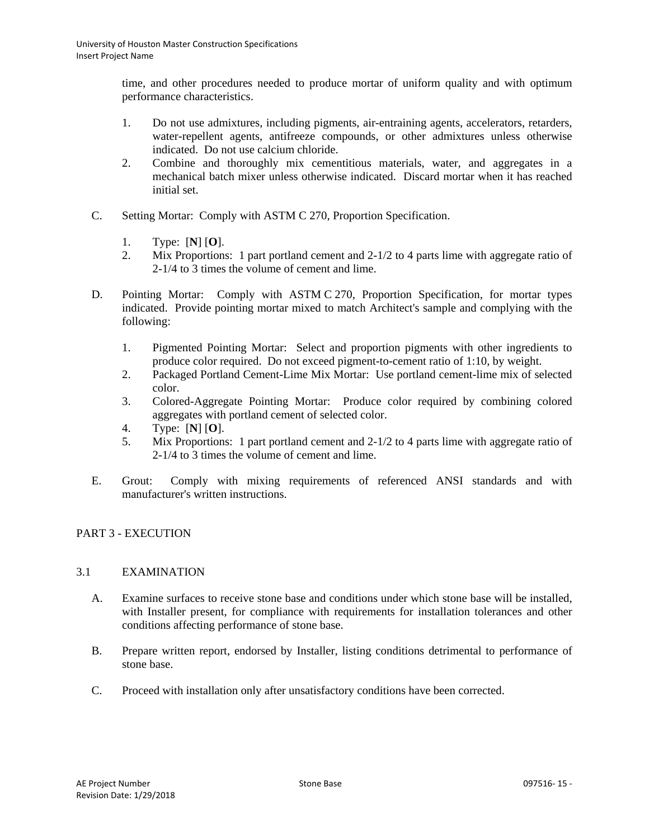time, and other procedures needed to produce mortar of uniform quality and with optimum performance characteristics.

- 1. Do not use admixtures, including pigments, air-entraining agents, accelerators, retarders, water-repellent agents, antifreeze compounds, or other admixtures unless otherwise indicated. Do not use calcium chloride.
- 2. Combine and thoroughly mix cementitious materials, water, and aggregates in a mechanical batch mixer unless otherwise indicated. Discard mortar when it has reached initial set.
- C. Setting Mortar: Comply with ASTM C 270, Proportion Specification.
	- 1. Type: [**N**] [**O**].
	- 2. Mix Proportions: 1 part portland cement and 2-1/2 to 4 parts lime with aggregate ratio of 2-1/4 to 3 times the volume of cement and lime.
- D. Pointing Mortar: Comply with ASTM C 270, Proportion Specification, for mortar types indicated. Provide pointing mortar mixed to match Architect's sample and complying with the following:
	- 1. Pigmented Pointing Mortar: Select and proportion pigments with other ingredients to produce color required. Do not exceed pigment-to-cement ratio of 1:10, by weight.
	- 2. Packaged Portland Cement-Lime Mix Mortar: Use portland cement-lime mix of selected color.
	- 3. Colored-Aggregate Pointing Mortar: Produce color required by combining colored aggregates with portland cement of selected color.
	- 4. Type: [**N**] [**O**].
	- 5. Mix Proportions: 1 part portland cement and 2-1/2 to 4 parts lime with aggregate ratio of 2-1/4 to 3 times the volume of cement and lime.
- E. Grout: Comply with mixing requirements of referenced ANSI standards and with manufacturer's written instructions.

# PART 3 - EXECUTION

## 3.1 EXAMINATION

- A. Examine surfaces to receive stone base and conditions under which stone base will be installed, with Installer present, for compliance with requirements for installation tolerances and other conditions affecting performance of stone base.
- B. Prepare written report, endorsed by Installer, listing conditions detrimental to performance of stone base.
- C. Proceed with installation only after unsatisfactory conditions have been corrected.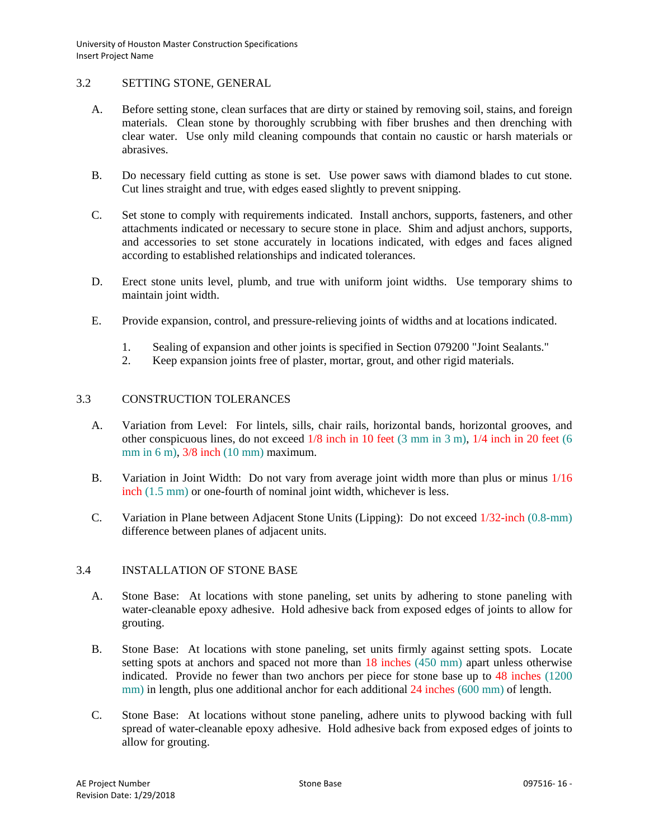# 3.2 SETTING STONE, GENERAL

- A. Before setting stone, clean surfaces that are dirty or stained by removing soil, stains, and foreign materials. Clean stone by thoroughly scrubbing with fiber brushes and then drenching with clear water. Use only mild cleaning compounds that contain no caustic or harsh materials or abrasives.
- B. Do necessary field cutting as stone is set. Use power saws with diamond blades to cut stone. Cut lines straight and true, with edges eased slightly to prevent snipping.
- C. Set stone to comply with requirements indicated. Install anchors, supports, fasteners, and other attachments indicated or necessary to secure stone in place. Shim and adjust anchors, supports, and accessories to set stone accurately in locations indicated, with edges and faces aligned according to established relationships and indicated tolerances.
- D. Erect stone units level, plumb, and true with uniform joint widths. Use temporary shims to maintain joint width.
- E. Provide expansion, control, and pressure-relieving joints of widths and at locations indicated.
	- 1. Sealing of expansion and other joints is specified in Section 079200 "Joint Sealants."
	- 2. Keep expansion joints free of plaster, mortar, grout, and other rigid materials.

### 3.3 CONSTRUCTION TOLERANCES

- A. Variation from Level: For lintels, sills, chair rails, horizontal bands, horizontal grooves, and other conspicuous lines, do not exceed 1/8 inch in 10 feet (3 mm in 3 m), 1/4 inch in 20 feet (6 mm in 6 m), 3/8 inch (10 mm) maximum.
- B. Variation in Joint Width: Do not vary from average joint width more than plus or minus 1/16 inch (1.5 mm) or one-fourth of nominal joint width, whichever is less.
- C. Variation in Plane between Adjacent Stone Units (Lipping): Do not exceed 1/32-inch (0.8-mm) difference between planes of adjacent units.

### 3.4 INSTALLATION OF STONE BASE

- A. Stone Base: At locations with stone paneling, set units by adhering to stone paneling with water-cleanable epoxy adhesive. Hold adhesive back from exposed edges of joints to allow for grouting.
- B. Stone Base: At locations with stone paneling, set units firmly against setting spots. Locate setting spots at anchors and spaced not more than 18 inches (450 mm) apart unless otherwise indicated. Provide no fewer than two anchors per piece for stone base up to 48 inches (1200 mm) in length, plus one additional anchor for each additional 24 inches (600 mm) of length.
- C. Stone Base: At locations without stone paneling, adhere units to plywood backing with full spread of water-cleanable epoxy adhesive. Hold adhesive back from exposed edges of joints to allow for grouting.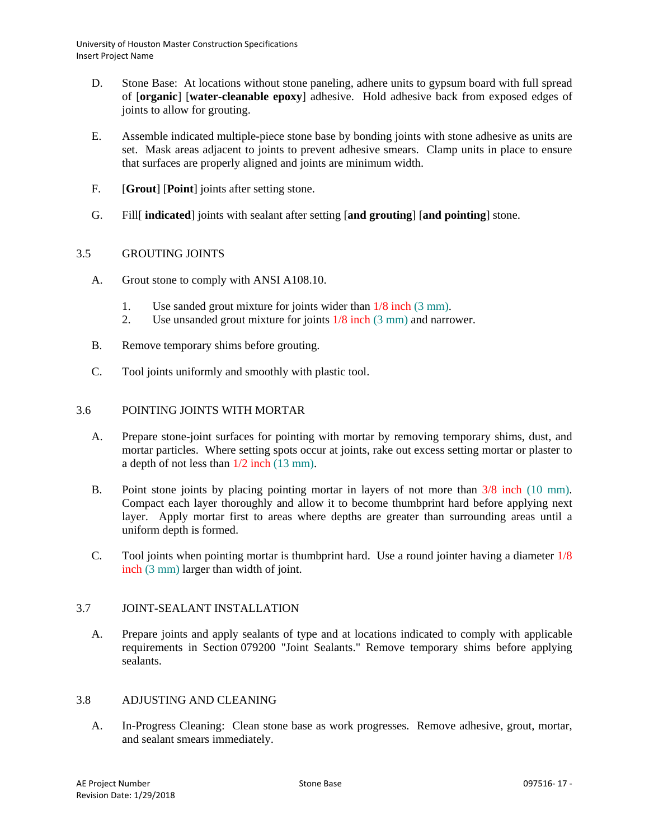- D. Stone Base: At locations without stone paneling, adhere units to gypsum board with full spread of [**organic**] [**water-cleanable epoxy**] adhesive. Hold adhesive back from exposed edges of joints to allow for grouting.
- E. Assemble indicated multiple-piece stone base by bonding joints with stone adhesive as units are set. Mask areas adjacent to joints to prevent adhesive smears. Clamp units in place to ensure that surfaces are properly aligned and joints are minimum width.
- F. [**Grout**] [**Point**] joints after setting stone.
- G. Fill[ **indicated**] joints with sealant after setting [**and grouting**] [**and pointing**] stone.

# 3.5 GROUTING JOINTS

- A. Grout stone to comply with ANSI A108.10.
	- 1. Use sanded grout mixture for joints wider than 1/8 inch (3 mm).
	- 2. Use unsanded grout mixture for joints 1/8 inch (3 mm) and narrower.
- B. Remove temporary shims before grouting.
- C. Tool joints uniformly and smoothly with plastic tool.

## 3.6 POINTING JOINTS WITH MORTAR

- A. Prepare stone-joint surfaces for pointing with mortar by removing temporary shims, dust, and mortar particles. Where setting spots occur at joints, rake out excess setting mortar or plaster to a depth of not less than 1/2 inch (13 mm).
- B. Point stone joints by placing pointing mortar in layers of not more than  $3/8$  inch (10 mm). Compact each layer thoroughly and allow it to become thumbprint hard before applying next layer. Apply mortar first to areas where depths are greater than surrounding areas until a uniform depth is formed.
- C. Tool joints when pointing mortar is thumbprint hard. Use a round jointer having a diameter 1/8 inch (3 mm) larger than width of joint.

## 3.7 JOINT-SEALANT INSTALLATION

A. Prepare joints and apply sealants of type and at locations indicated to comply with applicable requirements in Section 079200 "Joint Sealants." Remove temporary shims before applying sealants.

## 3.8 ADJUSTING AND CLEANING

A. In-Progress Cleaning: Clean stone base as work progresses. Remove adhesive, grout, mortar, and sealant smears immediately.